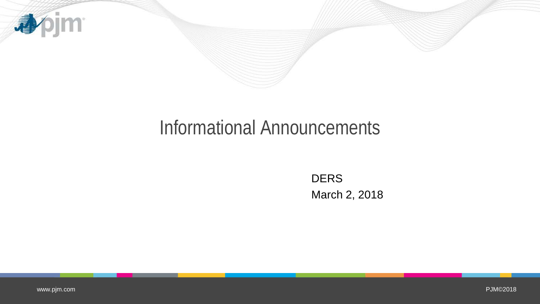

## Informational Announcements

DERS March 2, 2018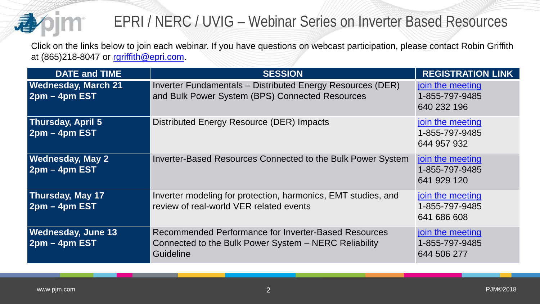

## EPRI / NERC / UVIG – Webinar Series on Inverter Based Resources

Click on the links below to join each webinar. If you have questions on webcast participation, please contact Robin Griffith at (865)218-8047 or [rgriffith@epri.com](mailto:rgriffith@epri.com).

| <b>DATE and TIME</b>                          | <b>SESSION</b>                                                                                                                    | <b>REGISTRATION LINK</b>                          |
|-----------------------------------------------|-----------------------------------------------------------------------------------------------------------------------------------|---------------------------------------------------|
| <b>Wednesday, March 21</b><br>$2pm - 4pm EST$ | Inverter Fundamentals - Distributed Energy Resources (DER)<br>and Bulk Power System (BPS) Connected Resources                     | join the meeting<br>1-855-797-9485<br>640 232 196 |
| <b>Thursday, April 5</b><br>$2pm - 4pm EST$   | Distributed Energy Resource (DER) Impacts                                                                                         | join the meeting<br>1-855-797-9485<br>644 957 932 |
| <b>Wednesday, May 2</b><br>$2pm - 4pm EST$    | Inverter-Based Resources Connected to the Bulk Power System                                                                       | join the meeting<br>1-855-797-9485<br>641 929 120 |
| Thursday, May 17<br>$2pm - 4pm EST$           | Inverter modeling for protection, harmonics, EMT studies, and<br>review of real-world VER related events                          | join the meeting<br>1-855-797-9485<br>641 686 608 |
| <b>Wednesday, June 13</b><br>$2pm - 4pm EST$  | <b>Recommended Performance for Inverter-Based Resources</b><br>Connected to the Bulk Power System - NERC Reliability<br>Guideline | join the meeting<br>1-855-797-9485<br>644 506 277 |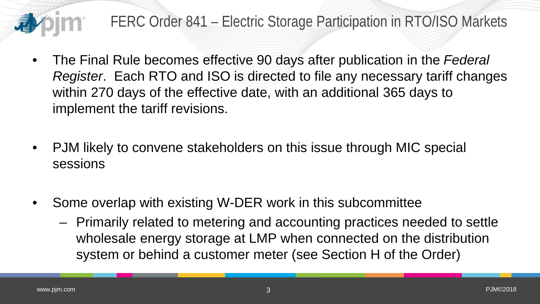

## FERC Order 841 – Electric Storage Participation in RTO/ISO Markets

- The Final Rule becomes effective 90 days after publication in the *Federal Register*. Each RTO and ISO is directed to file any necessary tariff changes within 270 days of the effective date, with an additional 365 days to implement the tariff revisions.
- PJM likely to convene stakeholders on this issue through MIC special sessions
- Some overlap with existing W-DER work in this subcommittee
	- Primarily related to metering and accounting practices needed to settle wholesale energy storage at LMP when connected on the distribution system or behind a customer meter (see Section H of the Order)